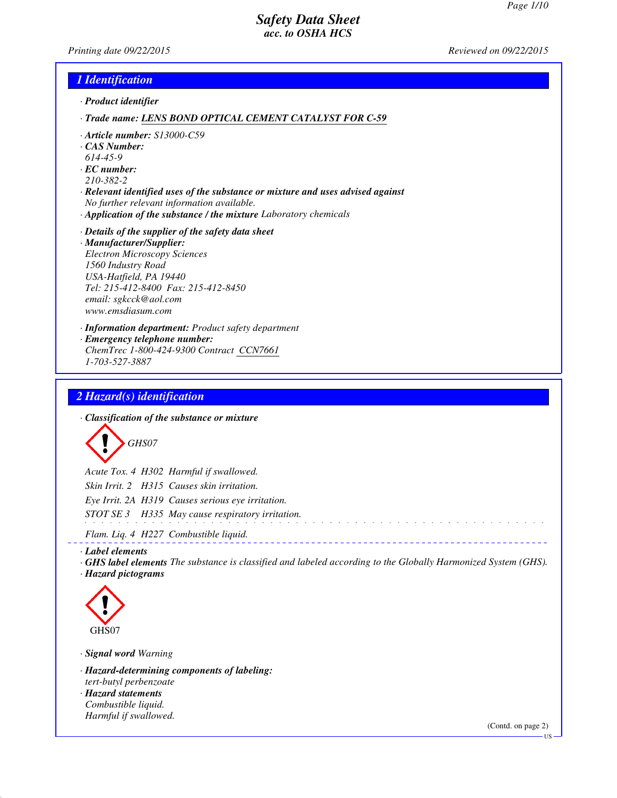*Printing date 09/22/2015 Reviewed on 09/22/2015*

#### *1 Identification*

*· Product identifier*

*· Trade name: LENS BOND OPTICAL CEMENT CATALYST FOR C-59*

- *· Article number: S13000-C59*
- *· CAS Number:*
- *614-45-9*
- *· EC number:*
- *210-382-2*
- *· Relevant identified uses of the substance or mixture and uses advised against No further relevant information available.*
- *· Application of the substance / the mixture Laboratory chemicals*

#### *· Details of the supplier of the safety data sheet*

- *· Manufacturer/Supplier: Electron Microscopy Sciences 1560 Industry Road USA-Hatfield, PA 19440 Tel: 215-412-8400 Fax: 215-412-8450 email: sgkcck@aol.com www.emsdiasum.com*
- *· Information department: Product safety department*
- *· Emergency telephone number:*
- *ChemTrec 1-800-424-9300 Contract CCN7661 1-703-527-3887*

#### *2 Hazard(s) identification*

*· Classification of the substance or mixture*

*GHS07*

*Acute Tox. 4 H302 Harmful if swallowed. Skin Irrit. 2 H315 Causes skin irritation. Eye Irrit. 2A H319 Causes serious eye irritation. STOT SE 3 H335 May cause respiratory irritation.*

*Flam. Liq. 4 H227 Combustible liquid.*

*· Label elements*

*· GHS label elements The substance is classified and labeled according to the Globally Harmonized System (GHS). · Hazard pictograms*

<u>. . . . . . . . . . . . . . .</u>



*· Signal word Warning*

*· Hazard-determining components of labeling: tert-butyl perbenzoate*

*· Hazard statements Combustible liquid. Harmful if swallowed.*

(Contd. on page 2)

US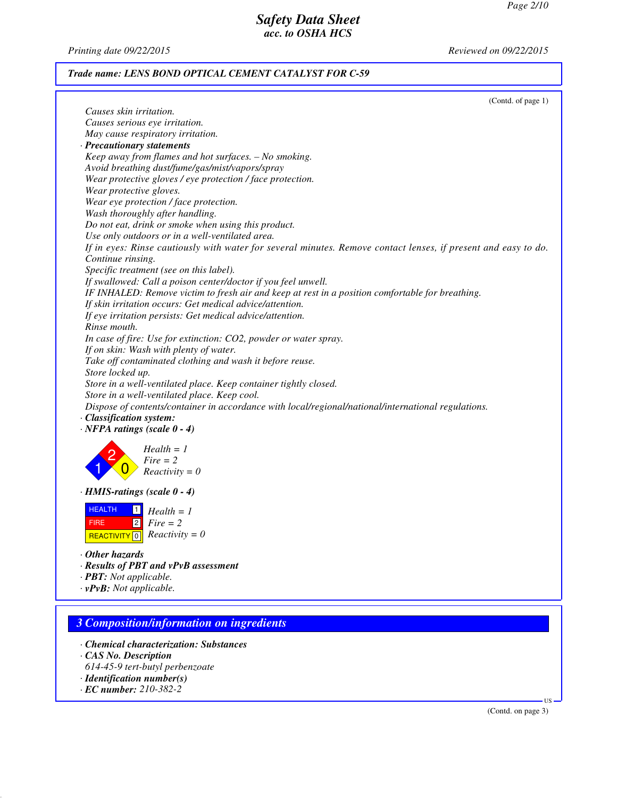*Printing date 09/22/2015 Reviewed on 09/22/2015*

## *Trade name: LENS BOND OPTICAL CEMENT CATALYST FOR C-59*

| (Contd. of page 1)                                                                                                                                           |
|--------------------------------------------------------------------------------------------------------------------------------------------------------------|
| Causes skin irritation.                                                                                                                                      |
| Causes serious eye irritation.                                                                                                                               |
| May cause respiratory irritation.<br>· Precautionary statements                                                                                              |
| Keep away from flames and hot surfaces. - No smoking.                                                                                                        |
| Avoid breathing dust/fume/gas/mist/vapors/spray                                                                                                              |
| Wear protective gloves / eye protection / face protection.                                                                                                   |
| Wear protective gloves.                                                                                                                                      |
| Wear eye protection / face protection.                                                                                                                       |
| Wash thoroughly after handling.                                                                                                                              |
| Do not eat, drink or smoke when using this product.                                                                                                          |
| Use only outdoors or in a well-ventilated area.                                                                                                              |
| If in eyes: Rinse cautiously with water for several minutes. Remove contact lenses, if present and easy to do.                                               |
| Continue rinsing.                                                                                                                                            |
| Specific treatment (see on this label).                                                                                                                      |
| If swallowed: Call a poison center/doctor if you feel unwell.                                                                                                |
| IF INHALED: Remove victim to fresh air and keep at rest in a position comfortable for breathing.<br>If skin irritation occurs: Get medical advice/attention. |
| If eye irritation persists: Get medical advice/attention.                                                                                                    |
| Rinse mouth.                                                                                                                                                 |
| In case of fire: Use for extinction: CO2, powder or water spray.                                                                                             |
| If on skin: Wash with plenty of water.                                                                                                                       |
| Take off contaminated clothing and wash it before reuse.                                                                                                     |
| Store locked up.                                                                                                                                             |
| Store in a well-ventilated place. Keep container tightly closed.                                                                                             |
| Store in a well-ventilated place. Keep cool.                                                                                                                 |
| Dispose of contents/container in accordance with local/regional/national/international regulations.                                                          |
| · Classification system:<br>$\cdot$ NFPA ratings (scale $0 - 4$ )                                                                                            |
|                                                                                                                                                              |
| $Health = 1$                                                                                                                                                 |
| $Fire = 2$                                                                                                                                                   |
| $Reactivity = 0$                                                                                                                                             |
| $\cdot$ HMIS-ratings (scale $0 - 4$ )                                                                                                                        |
| <b>HEALTH</b><br>$\vert$ 1                                                                                                                                   |
| $Health = 1$<br> 2 <br>$Fire = 2$<br><b>FIRE</b>                                                                                                             |
| REACTIVITY $\boxed{0}$ <i>Reactivity</i> = 0                                                                                                                 |
|                                                                                                                                                              |
| $\cdot$ Other hazards                                                                                                                                        |
| · Results of PBT and vPvB assessment                                                                                                                         |
| · <b>PBT</b> : Not applicable.                                                                                                                               |
| $\cdot$ vPvB: Not applicable.                                                                                                                                |
|                                                                                                                                                              |
| <b>3 Composition/information on ingredients</b>                                                                                                              |
|                                                                                                                                                              |

- *· Chemical characterization: Substances*
- *· CAS No. Description*
- *614-45-9 tert-butyl perbenzoate*
- *· Identification number(s)*
- *· EC number: 210-382-2*

(Contd. on page 3)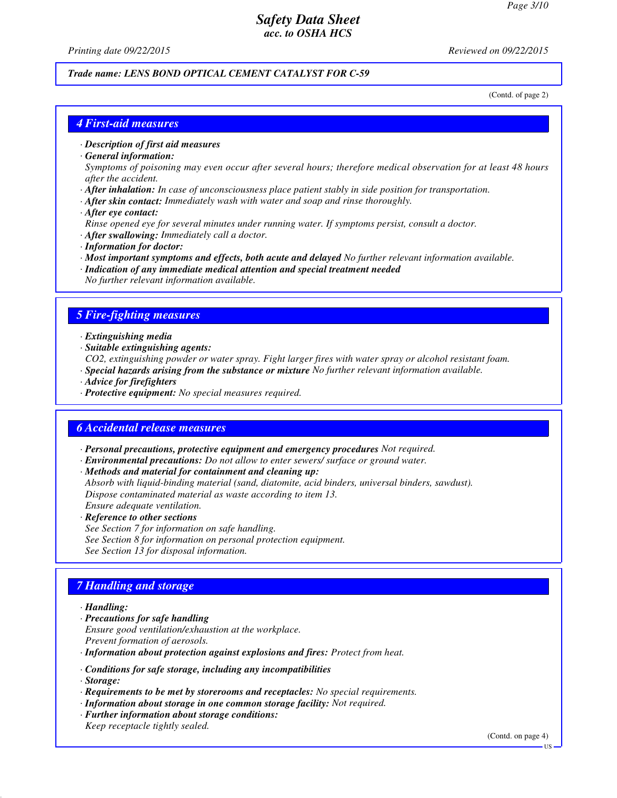*Printing date 09/22/2015 Reviewed on 09/22/2015*

## *Trade name: LENS BOND OPTICAL CEMENT CATALYST FOR C-59*

(Contd. of page 2)

#### *4 First-aid measures*

*· Description of first aid measures*

*· General information:*

*Symptoms of poisoning may even occur after several hours; therefore medical observation for at least 48 hours after the accident.*

- *· After inhalation: In case of unconsciousness place patient stably in side position for transportation.*
- *· After skin contact: Immediately wash with water and soap and rinse thoroughly.*
- *· After eye contact:*
- *Rinse opened eye for several minutes under running water. If symptoms persist, consult a doctor.*
- *· After swallowing: Immediately call a doctor.*
- *· Information for doctor:*
- *· Most important symptoms and effects, both acute and delayed No further relevant information available.*
- *· Indication of any immediate medical attention and special treatment needed No further relevant information available.*

#### *5 Fire-fighting measures*

- *· Extinguishing media*
- *· Suitable extinguishing agents:*
- *CO2, extinguishing powder or water spray. Fight larger fires with water spray or alcohol resistant foam.*
- *· Special hazards arising from the substance or mixture No further relevant information available.*
- *· Advice for firefighters*
- *· Protective equipment: No special measures required.*

#### *6 Accidental release measures*

- *· Personal precautions, protective equipment and emergency procedures Not required.*
- *· Environmental precautions: Do not allow to enter sewers/ surface or ground water.*
- *· Methods and material for containment and cleaning up:*

*Absorb with liquid-binding material (sand, diatomite, acid binders, universal binders, sawdust). Dispose contaminated material as waste according to item 13. Ensure adequate ventilation.*

- *· Reference to other sections*
- *See Section 7 for information on safe handling. See Section 8 for information on personal protection equipment. See Section 13 for disposal information.*

# *7 Handling and storage*

#### *· Handling:*

- *· Precautions for safe handling Ensure good ventilation/exhaustion at the workplace. Prevent formation of aerosols.*
- *· Information about protection against explosions and fires: Protect from heat.*
- *· Conditions for safe storage, including any incompatibilities*
- *· Storage:*
- *· Requirements to be met by storerooms and receptacles: No special requirements.*
- *· Information about storage in one common storage facility: Not required.*
- *· Further information about storage conditions:*
- *Keep receptacle tightly sealed.*

(Contd. on page 4)

US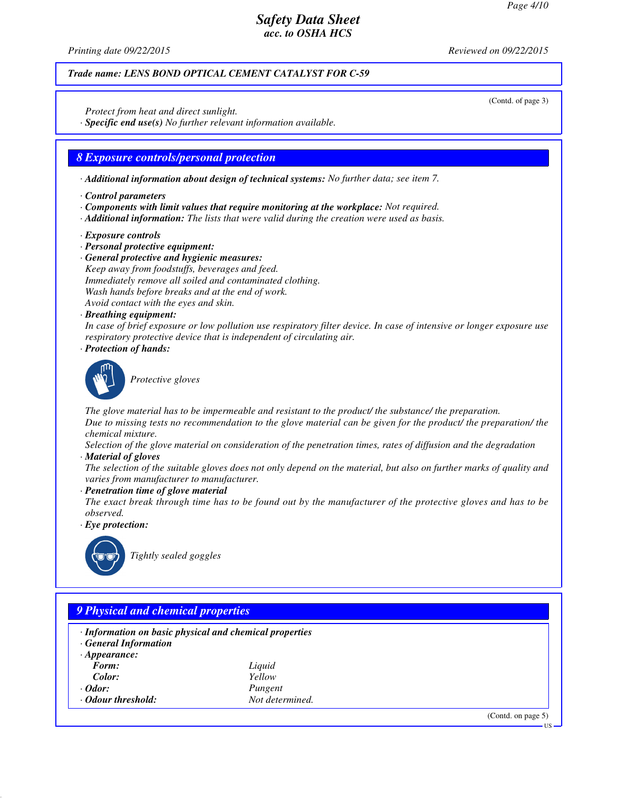(Contd. of page 3)

# *Safety Data Sheet acc. to OSHA HCS*

*Printing date 09/22/2015 Reviewed on 09/22/2015*

## *Trade name: LENS BOND OPTICAL CEMENT CATALYST FOR C-59*

*Protect from heat and direct sunlight.*

*· Specific end use(s) No further relevant information available.*

#### *8 Exposure controls/personal protection*

*· Additional information about design of technical systems: No further data; see item 7.*

- *· Control parameters*
- *· Components with limit values that require monitoring at the workplace: Not required.*
- *· Additional information: The lists that were valid during the creation were used as basis.*
- *· Exposure controls*
- *· Personal protective equipment:*
- *· General protective and hygienic measures:*
- *Keep away from foodstuffs, beverages and feed. Immediately remove all soiled and contaminated clothing. Wash hands before breaks and at the end of work.*
- *Avoid contact with the eyes and skin.*

## *· Breathing equipment:*

*In case of brief exposure or low pollution use respiratory filter device. In case of intensive or longer exposure use respiratory protective device that is independent of circulating air.*

*· Protection of hands:*



*Protective gloves*

*The glove material has to be impermeable and resistant to the product/ the substance/ the preparation. Due to missing tests no recommendation to the glove material can be given for the product/ the preparation/ the chemical mixture.*

*Selection of the glove material on consideration of the penetration times, rates of diffusion and the degradation*

*· Material of gloves*

*The selection of the suitable gloves does not only depend on the material, but also on further marks of quality and varies from manufacturer to manufacturer.*

*· Penetration time of glove material*

*The exact break through time has to be found out by the manufacturer of the protective gloves and has to be observed.*

*· Eye protection:*



*Tightly sealed goggles*

| · Information on basic physical and chemical properties |                 |  |
|---------------------------------------------------------|-----------------|--|
| <b>General Information</b>                              |                 |  |
| $\cdot$ Appearance:<br>Form:                            |                 |  |
|                                                         | Liquid          |  |
| Color:                                                  | Yellow          |  |
| $\cdot$ Odor:                                           | Pungent         |  |
| · Odour threshold:                                      | Not determined. |  |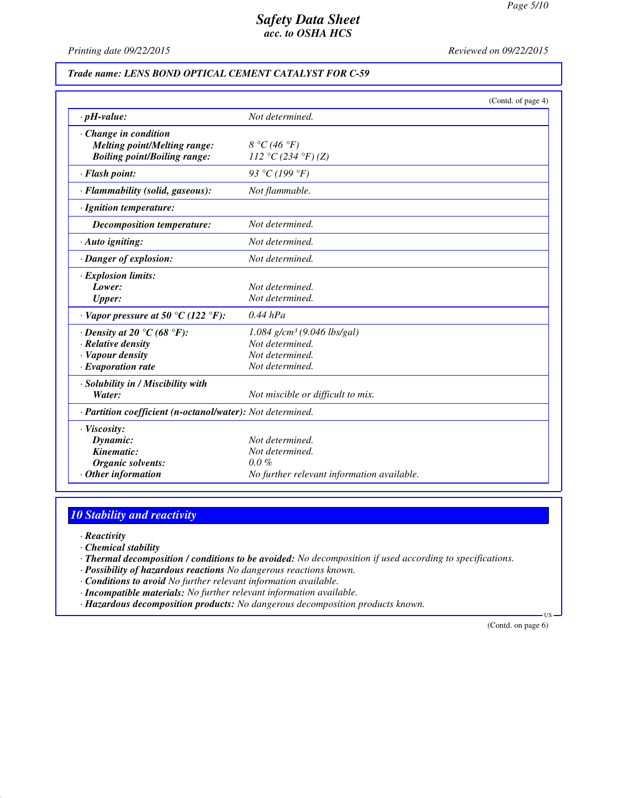*Printing date 09/22/2015 Reviewed on 09/22/2015*

#### *Trade name: LENS BOND OPTICAL CEMENT CATALYST FOR C-59*

|                                                            | (Contd. of page 4)                         |
|------------------------------------------------------------|--------------------------------------------|
| $\cdot$ pH-value:                                          | Not determined.                            |
| $\cdot$ Change in condition                                |                                            |
| Melting point/Melting range:                               | $8 °C$ (46 °F)                             |
| <b>Boiling point/Boiling range:</b>                        | 112 °C (234 °F) (Z)                        |
| · Flash point:                                             | 93 °C (199 °F)                             |
| · Flammability (solid, gaseous):                           | Not flammable.                             |
| · Ignition temperature:                                    |                                            |
| Decomposition temperature:                                 | Not determined.                            |
| $\cdot$ Auto igniting:                                     | Not determined.                            |
| · Danger of explosion:                                     | Not determined.                            |
| $\cdot$ Explosion limits:                                  |                                            |
| Lower:                                                     | Not determined.                            |
| <b>Upper:</b>                                              | Not determined.                            |
| $\cdot$ Vapor pressure at 50 °C (122 °F):                  | $0.44$ hPa                                 |
| $\cdot$ Density at 20 °C (68 °F):                          | $1.084$ g/cm <sup>3</sup> (9.046 lbs/gal)  |
| · Relative density                                         | Not determined.                            |
| · Vapour density                                           | Not determined.                            |
| $\cdot$ Evaporation rate                                   | Not determined.                            |
| · Solubility in / Miscibility with                         |                                            |
| Water:                                                     | Not miscible or difficult to mix.          |
| · Partition coefficient (n-octanol/water): Not determined. |                                            |
| $\cdot$ Viscosity:                                         |                                            |
| Dynamic:                                                   | Not determined.                            |
| Kinematic:                                                 | Not determined.                            |
| <b>Organic solvents:</b>                                   | $0.0\%$                                    |
| $·$ Other information                                      | No further relevant information available. |

# *10 Stability and reactivity*

*· Reactivity*

*· Chemical stability*

*· Thermal decomposition / conditions to be avoided: No decomposition if used according to specifications.*

*· Possibility of hazardous reactions No dangerous reactions known.*

*· Conditions to avoid No further relevant information available.*

*· Incompatible materials: No further relevant information available.*

*· Hazardous decomposition products: No dangerous decomposition products known.*

(Contd. on page 6)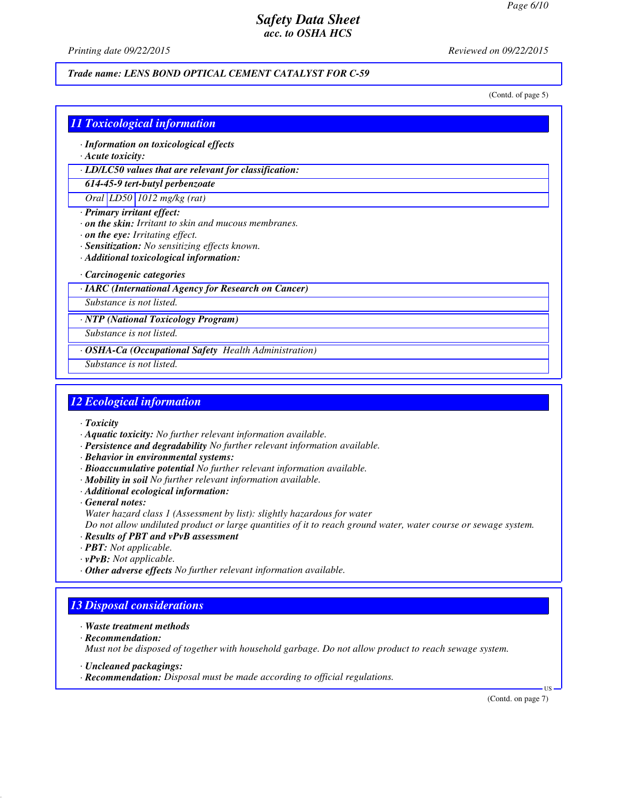*Printing date 09/22/2015 Reviewed on 09/22/2015*

#### *Trade name: LENS BOND OPTICAL CEMENT CATALYST FOR C-59*

(Contd. of page 5)

#### *11 Toxicological information*

- *· Information on toxicological effects*
- *· Acute toxicity:*

*· LD/LC50 values that are relevant for classification:*

#### *614-45-9 tert-butyl perbenzoate*

*Oral LD50 1012 mg/kg (rat)*

- *· Primary irritant effect:*
- *· on the skin: Irritant to skin and mucous membranes.*
- *· on the eye: Irritating effect.*
- *· Sensitization: No sensitizing effects known.*
- *· Additional toxicological information:*

#### *· Carcinogenic categories*

*· IARC (International Agency for Research on Cancer)*

*Substance is not listed.*

*· NTP (National Toxicology Program)*

*Substance is not listed.*

*· OSHA-Ca (Occupational Safety Health Administration)*

*Substance is not listed.*

#### *12 Ecological information*

- *· Toxicity*
- *· Aquatic toxicity: No further relevant information available.*
- *· Persistence and degradability No further relevant information available.*
- *· Behavior in environmental systems:*
- *· Bioaccumulative potential No further relevant information available.*
- *· Mobility in soil No further relevant information available.*
- *· Additional ecological information:*

*· General notes: Water hazard class 1 (Assessment by list): slightly hazardous for water*

*Do not allow undiluted product or large quantities of it to reach ground water, water course or sewage system.*

- *· Results of PBT and vPvB assessment*
- *· PBT: Not applicable.*
- *· vPvB: Not applicable.*
- *· Other adverse effects No further relevant information available.*

# *13 Disposal considerations*

- *· Waste treatment methods*
- *· Recommendation:*

*Must not be disposed of together with household garbage. Do not allow product to reach sewage system.*

- *· Uncleaned packagings:*
- *· Recommendation: Disposal must be made according to official regulations.*

(Contd. on page 7)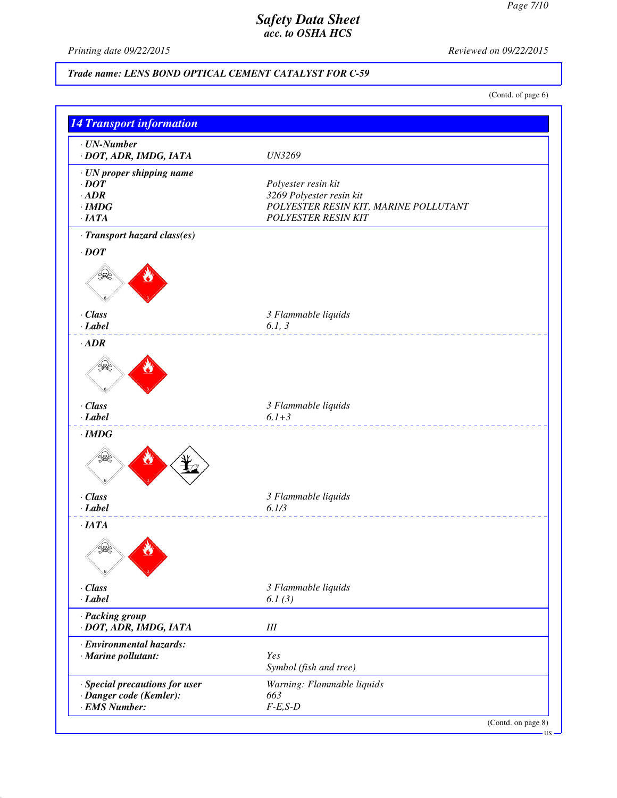*Printing date 09/22/2015 Reviewed on 09/22/2015*

# *Trade name: LENS BOND OPTICAL CEMENT CATALYST FOR C-59*

(Contd. of page 6)

| $\cdot$ UN-Number<br>· DOT, ADR, IMDG, IATA | <b>UN3269</b>                         |
|---------------------------------------------|---------------------------------------|
| · UN proper shipping name                   |                                       |
| $\cdot$ DOT                                 | Polyester resin kit                   |
| $\cdot$ ADR                                 | 3269 Polyester resin kit              |
| $\cdot$ IMDG                                | POLYESTER RESIN KIT, MARINE POLLUTANT |
| ·IATA                                       | <b>POLYESTER RESIN KIT</b>            |
| · Transport hazard class(es)                |                                       |
| $\cdot$ DOT                                 |                                       |
|                                             |                                       |
| · Class                                     | 3 Flammable liquids                   |
| $-Label$                                    | 6.1, 3                                |
| $\cdot$ ADR                                 |                                       |
|                                             |                                       |
| · Class                                     | 3 Flammable liquids                   |
| $-Label$                                    | $6.1 + 3$                             |
| $\cdot$ IMDG                                |                                       |
|                                             |                                       |
| · Class                                     | 3 Flammable liquids                   |
| $-Label$                                    | 6.1/3                                 |
| ·IATA                                       |                                       |
|                                             |                                       |
| $\cdot$ Class                               | 3 Flammable liquids                   |
| $-Label$                                    | 6.1(3)                                |
| · Packing group<br>· DOT, ADR, IMDG, IATA   | $I\!I\!I$                             |
| · Environmental hazards:                    |                                       |
| · Marine pollutant:                         | Yes                                   |
|                                             | Symbol (fish and tree)                |
|                                             |                                       |
| · Special precautions for user              | Warning: Flammable liquids            |
| · Danger code (Kemler):                     | 663                                   |
| · EMS Number:                               | $F-E, S-D$                            |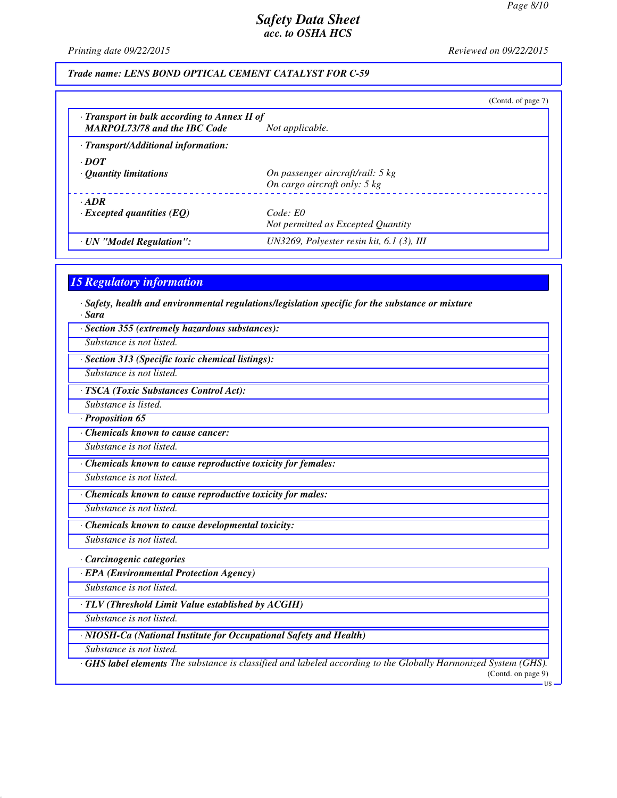*Printing date 09/22/2015 Reviewed on 09/22/2015*

#### *Trade name: LENS BOND OPTICAL CEMENT CATALYST FOR C-59*

|                                                                                           | (Contd. of page 7)                                                         |
|-------------------------------------------------------------------------------------------|----------------------------------------------------------------------------|
| $\cdot$ Transport in bulk according to Annex II of<br><b>MARPOL73/78 and the IBC Code</b> | Not applicable.                                                            |
| · Transport/Additional information:                                                       |                                                                            |
| $\cdot$ DOT<br>$\cdot$ Quantity limitations                                               | On passenger aircraft/rail: 5 kg<br>On cargo aircraft only: $5 \text{ kg}$ |
| $\cdot$ ADR<br>$\cdot$ Excepted quantities (EQ)                                           | Code: E0<br>Not permitted as Excepted Quantity                             |
| · UN "Model Regulation":                                                                  | UN3269, Polyester resin kit, $6.1$ (3), III                                |

#### *15 Regulatory information*

*· Safety, health and environmental regulations/legislation specific for the substance or mixture · Sara*

*· Section 355 (extremely hazardous substances):*

*Substance is not listed.*

*· Section 313 (Specific toxic chemical listings):*

*Substance is not listed.*

*· TSCA (Toxic Substances Control Act):*

*Substance is listed.*

*· Proposition 65*

*· Chemicals known to cause cancer:*

*Substance is not listed.*

*· Chemicals known to cause reproductive toxicity for females:*

*Substance is not listed.*

*· Chemicals known to cause reproductive toxicity for males:*

*Substance is not listed.*

*· Chemicals known to cause developmental toxicity:*

*Substance is not listed.*

*· Carcinogenic categories*

*· EPA (Environmental Protection Agency)*

*Substance is not listed.*

*· TLV (Threshold Limit Value established by ACGIH)*

*Substance is not listed.*

*· NIOSH-Ca (National Institute for Occupational Safety and Health)*

*Substance is not listed.*

*· GHS label elements The substance is classified and labeled according to the Globally Harmonized System (GHS).* (Contd. on page 9)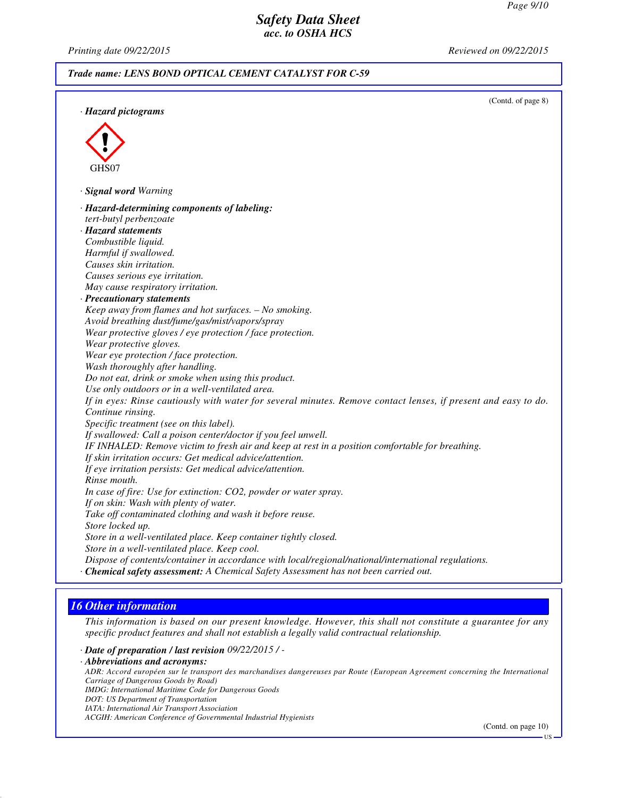*Printing date 09/22/2015 Reviewed on 09/22/2015*

#### *Trade name: LENS BOND OPTICAL CEMENT CATALYST FOR C-59*

(Contd. of page 8) *· Hazard pictograms* GHS07 *· Signal word Warning · Hazard-determining components of labeling: tert-butyl perbenzoate · Hazard statements Combustible liquid. Harmful if swallowed. Causes skin irritation. Causes serious eye irritation. May cause respiratory irritation. · Precautionary statements Keep away from flames and hot surfaces. – No smoking. Avoid breathing dust/fume/gas/mist/vapors/spray Wear protective gloves / eye protection / face protection. Wear protective gloves. Wear eye protection / face protection. Wash thoroughly after handling. Do not eat, drink or smoke when using this product. Use only outdoors or in a well-ventilated area. If in eyes: Rinse cautiously with water for several minutes. Remove contact lenses, if present and easy to do. Continue rinsing. Specific treatment (see on this label). If swallowed: Call a poison center/doctor if you feel unwell. IF INHALED: Remove victim to fresh air and keep at rest in a position comfortable for breathing. If skin irritation occurs: Get medical advice/attention. If eye irritation persists: Get medical advice/attention. Rinse mouth. In case of fire: Use for extinction: CO2, powder or water spray. If on skin: Wash with plenty of water. Take off contaminated clothing and wash it before reuse. Store locked up. Store in a well-ventilated place. Keep container tightly closed. Store in a well-ventilated place. Keep cool. Dispose of contents/container in accordance with local/regional/national/international regulations. · Chemical safety assessment: A Chemical Safety Assessment has not been carried out.*

# *16 Other information*

*This information is based on our present knowledge. However, this shall not constitute a guarantee for any specific product features and shall not establish a legally valid contractual relationship.*

*· Date of preparation / last revision 09/22/2015 / -*

*· Abbreviations and acronyms:*

*ADR: Accord européen sur le transport des marchandises dangereuses par Route (European Agreement concerning the International Carriage of Dangerous Goods by Road)*

*IMDG: International Maritime Code for Dangerous Goods*

- *DOT: US Department of Transportation*
- *IATA: International Air Transport Association*

*ACGIH: American Conference of Governmental Industrial Hygienists*

(Contd. on page 10)

US